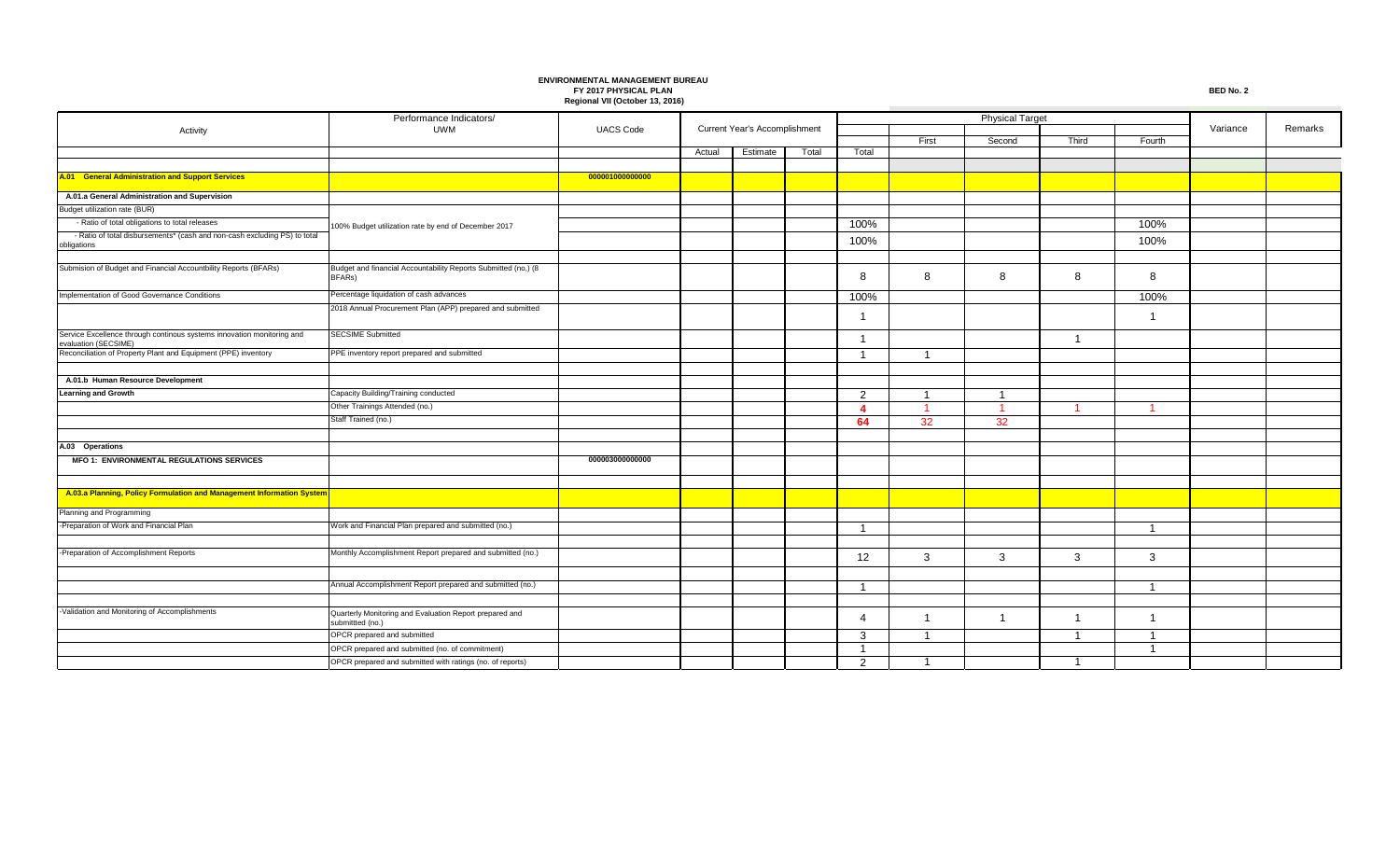|                                                                                                | Performance Indicators/                                                     |                  |        |                               |       |                         |                |                |                         |                |          |         |
|------------------------------------------------------------------------------------------------|-----------------------------------------------------------------------------|------------------|--------|-------------------------------|-------|-------------------------|----------------|----------------|-------------------------|----------------|----------|---------|
| Activity                                                                                       | <b>UWM</b>                                                                  | <b>UACS Code</b> |        | Current Year's Accomplishment |       |                         |                |                |                         |                | Variance | Remarks |
|                                                                                                |                                                                             |                  |        | Estimate                      | Total | Total                   | First          | Second         | Third                   | Fourth         |          |         |
|                                                                                                |                                                                             |                  | Actual |                               |       |                         |                |                |                         |                |          |         |
| A.01 General Administration and Support Services                                               |                                                                             | 000001000000000  |        |                               |       |                         |                |                |                         |                |          |         |
|                                                                                                |                                                                             |                  |        |                               |       |                         |                |                |                         |                |          |         |
| A.01.a General Administration and Supervision                                                  |                                                                             |                  |        |                               |       |                         |                |                |                         |                |          |         |
| Budget utilization rate (BUR)                                                                  |                                                                             |                  |        |                               |       |                         |                |                |                         |                |          |         |
| - Ratio of total obligations to total releases                                                 | 100% Budget utilization rate by end of December 2017                        |                  |        |                               |       | 100%                    |                |                |                         | 100%           |          |         |
| - Ratio of total disbursements* (cash and non-cash excluding PS) to total<br>obligations       |                                                                             |                  |        |                               |       | 100%                    |                |                |                         | 100%           |          |         |
| Submision of Budget and Financial Accountbility Reports (BFARs)                                | Budget and financial Accountability Reports Submitted (no,) (8              |                  |        |                               |       |                         |                |                |                         |                |          |         |
|                                                                                                | BFARs)                                                                      |                  |        |                               |       | 8                       | 8              | 8              | 8                       | 8              |          |         |
| Implementation of Good Governance Conditions                                                   | Percentage liquidation of cash advances                                     |                  |        |                               |       | 100%                    |                |                |                         | 100%           |          |         |
|                                                                                                | 2018 Annual Procurement Plan (APP) prepared and submitted                   |                  |        |                               |       | -1                      |                |                |                         |                |          |         |
| Service Excellence through continous systems innovation monitoring and<br>evaluation (SECSIME) | <b>SECSIME Submitted</b>                                                    |                  |        |                               |       | -1                      |                |                | $\overline{1}$          |                |          |         |
| Reconciliation of Property Plant and Equipment (PPE) inventory                                 | PPE inventory report prepared and submitted                                 |                  |        |                               |       | $\overline{\mathbf{1}}$ | - 1            |                |                         |                |          |         |
| A.01.b Human Resource Development                                                              |                                                                             |                  |        |                               |       |                         |                |                |                         |                |          |         |
| <b>Learning and Growth</b>                                                                     | Capacity Building/Training conducted                                        |                  |        |                               |       | 2                       | -1             | $\overline{1}$ |                         |                |          |         |
|                                                                                                | Other Trainings Attended (no.)                                              |                  |        |                               |       | $\overline{4}$          | $\overline{1}$ | $\overline{1}$ | -1                      |                |          |         |
|                                                                                                | Staff Trained (no.)                                                         |                  |        |                               |       | 64                      | 32             | 32             |                         |                |          |         |
| A.03 Operations                                                                                |                                                                             |                  |        |                               |       |                         |                |                |                         |                |          |         |
| <b>MFO 1: ENVIRONMENTAL REGULATIONS SERVICES</b>                                               |                                                                             | 000003000000000  |        |                               |       |                         |                |                |                         |                |          |         |
|                                                                                                |                                                                             |                  |        |                               |       |                         |                |                |                         |                |          |         |
| A.03.a Planning, Policy Formulation and Management Information System                          |                                                                             |                  |        |                               |       |                         |                |                |                         |                |          |         |
| Planning and Programming                                                                       |                                                                             |                  |        |                               |       |                         |                |                |                         |                |          |         |
| Preparation of Work and Financial Plan                                                         | Work and Financial Plan prepared and submitted (no.)                        |                  |        |                               |       | -1                      |                |                |                         | -1             |          |         |
|                                                                                                |                                                                             |                  |        |                               |       |                         |                |                |                         |                |          |         |
| -Preparation of Accomplishment Reports                                                         | Monthly Accomplishment Report prepared and submitted (no.)                  |                  |        |                               |       | 12                      | 3              | 3              | 3                       | 3              |          |         |
|                                                                                                |                                                                             |                  |        |                               |       |                         |                |                |                         |                |          |         |
|                                                                                                | Annual Accomplishment Report prepared and submitted (no.)                   |                  |        |                               |       | -1                      |                |                |                         | $\overline{1}$ |          |         |
|                                                                                                |                                                                             |                  |        |                               |       |                         |                |                |                         |                |          |         |
| Validation and Monitoring of Accomplishments                                                   | Quarterly Monitoring and Evaluation Report prepared and<br>submittted (no.) |                  |        |                               |       | $\overline{a}$          | -1             | $\overline{1}$ | $\overline{1}$          |                |          |         |
|                                                                                                | OPCR prepared and submitted                                                 |                  |        |                               |       | 3                       | - 1            |                | $\overline{\mathbf{1}}$ |                |          |         |
|                                                                                                | OPCR prepared and submitted (no. of commitment)                             |                  |        |                               |       | $\overline{1}$          |                |                |                         | $\mathbf{1}$   |          |         |
|                                                                                                | OPCR prepared and submitted with ratings (no. of reports)                   |                  |        |                               |       | $\mathcal{P}$           | -1             |                |                         |                |          |         |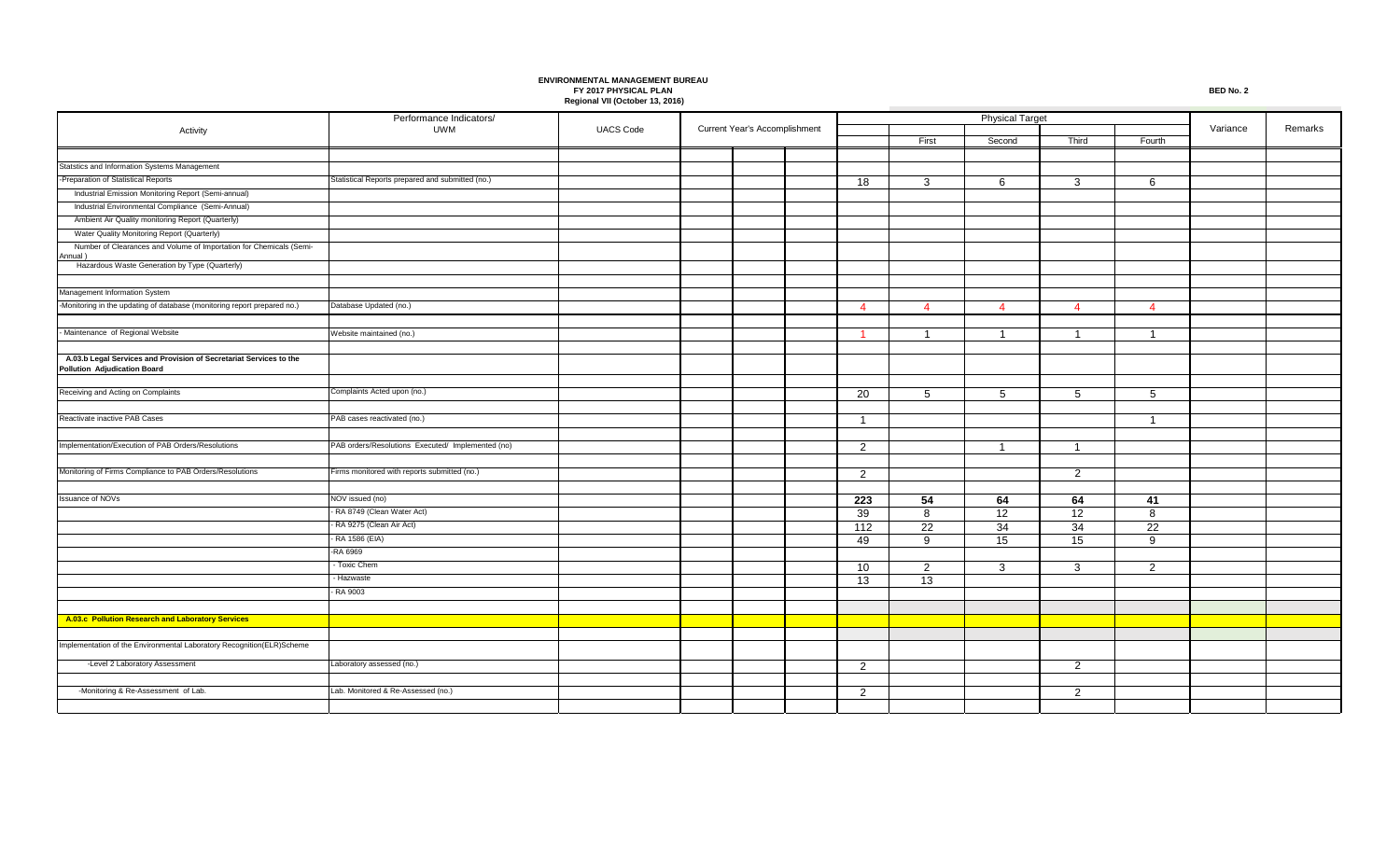|                                                                                                    | Performance Indicators/                           |                  |  |                               |  |                      |                 |                 |                |                 |          |         |
|----------------------------------------------------------------------------------------------------|---------------------------------------------------|------------------|--|-------------------------------|--|----------------------|-----------------|-----------------|----------------|-----------------|----------|---------|
| Activity                                                                                           | UWM                                               | <b>UACS Code</b> |  | Current Year's Accomplishment |  |                      |                 |                 |                |                 | Variance | Remarks |
|                                                                                                    |                                                   |                  |  |                               |  |                      | First           | Second          | Third          | Fourth          |          |         |
| Statstics and Information Systems Management                                                       |                                                   |                  |  |                               |  |                      |                 |                 |                |                 |          |         |
| Preparation of Statistical Reports                                                                 | Statistical Reports prepared and submitted (no.)  |                  |  |                               |  | 18                   | 3               | 6               | 3              | 6               |          |         |
| Industrial Emission Monitoring Report (Semi-annual)                                                |                                                   |                  |  |                               |  |                      |                 |                 |                |                 |          |         |
| Industrial Environmental Compliance (Semi-Annual)                                                  |                                                   |                  |  |                               |  |                      |                 |                 |                |                 |          |         |
| Ambient Air Quality monitoring Report (Quarterly)                                                  |                                                   |                  |  |                               |  |                      |                 |                 |                |                 |          |         |
| Water Quality Monitoring Report (Quarterly)                                                        |                                                   |                  |  |                               |  |                      |                 |                 |                |                 |          |         |
| Number of Clearances and Volume of Importation for Chemicals (Semi-                                |                                                   |                  |  |                               |  |                      |                 |                 |                |                 |          |         |
| Annual)<br>Hazardous Waste Generation by Type (Quarterly)                                          |                                                   |                  |  |                               |  |                      |                 |                 |                |                 |          |         |
|                                                                                                    |                                                   |                  |  |                               |  |                      |                 |                 |                |                 |          |         |
| Management Information System                                                                      |                                                   |                  |  |                               |  |                      |                 |                 |                |                 |          |         |
| Monitoring in the updating of database (monitoring report prepared no.)                            | Database Updated (no.)                            |                  |  |                               |  | $\overline{4}$       | $\overline{4}$  | $\overline{4}$  | $\overline{4}$ | $\overline{4}$  |          |         |
|                                                                                                    |                                                   |                  |  |                               |  |                      |                 |                 |                |                 |          |         |
| Maintenance of Regional Website                                                                    | Website maintained (no.)                          |                  |  |                               |  | $\blacktriangleleft$ | $\overline{1}$  | $\overline{1}$  | $\overline{1}$ | $\overline{1}$  |          |         |
|                                                                                                    |                                                   |                  |  |                               |  |                      |                 |                 |                |                 |          |         |
| A.03.b Legal Services and Provision of Secretariat Services to the<br>Pollution Adjudication Board |                                                   |                  |  |                               |  |                      |                 |                 |                |                 |          |         |
|                                                                                                    |                                                   |                  |  |                               |  |                      |                 |                 |                |                 |          |         |
| Receiving and Acting on Complaints                                                                 | Complaints Acted upon (no.)                       |                  |  |                               |  | 20                   | 5               | $5\overline{5}$ | 5              | 5               |          |         |
|                                                                                                    |                                                   |                  |  |                               |  |                      |                 |                 |                |                 |          |         |
| Reactivate inactive PAB Cases                                                                      | PAB cases reactivated (no.)                       |                  |  |                               |  | $\mathbf{1}$         |                 |                 |                | $\overline{1}$  |          |         |
|                                                                                                    |                                                   |                  |  |                               |  |                      |                 |                 |                |                 |          |         |
| Implementation/Execution of PAB Orders/Resolutions                                                 | PAB orders/Resolutions Executed/ Implemented (no) |                  |  |                               |  | 2                    |                 | $\overline{1}$  | $\overline{1}$ |                 |          |         |
|                                                                                                    |                                                   |                  |  |                               |  |                      |                 |                 |                |                 |          |         |
| Monitoring of Firms Compliance to PAB Orders/Resolutions                                           | Firms monitored with reports submitted (no.)      |                  |  |                               |  | $\overline{2}$       |                 |                 | $\overline{2}$ |                 |          |         |
|                                                                                                    |                                                   |                  |  |                               |  |                      |                 |                 |                |                 |          |         |
| ssuance of NOVs                                                                                    | NOV issued (no)                                   |                  |  |                               |  | 223                  | 54              | 64              | 64             | 41              |          |         |
|                                                                                                    | - RA 8749 (Clean Water Act)                       |                  |  |                               |  | 39                   | 8               | 12              | 12             | 8               |          |         |
|                                                                                                    | - RA 9275 (Clean Air Act)                         |                  |  |                               |  | 112                  | 22              | 34              | 34             | $\overline{22}$ |          |         |
|                                                                                                    | - RA 1586 (EIA)                                   |                  |  |                               |  | 49                   | 9               | 15              | 15             | 9               |          |         |
|                                                                                                    | -RA 6969                                          |                  |  |                               |  |                      |                 |                 |                |                 |          |         |
|                                                                                                    | - Toxic Chem                                      |                  |  |                               |  | 10                   | $\overline{2}$  | 3               | 3              | 2               |          |         |
|                                                                                                    | - Hazwaste                                        |                  |  |                               |  | 13                   | $\overline{13}$ |                 |                |                 |          |         |
|                                                                                                    | RA 9003                                           |                  |  |                               |  |                      |                 |                 |                |                 |          |         |
| A.03.c Pollution Research and Laboratory Services                                                  |                                                   |                  |  |                               |  |                      |                 |                 |                |                 |          |         |
|                                                                                                    |                                                   |                  |  |                               |  |                      |                 |                 |                |                 |          |         |
| mplementation of the Environmental Laboratory Recognition(ELR)Scheme                               |                                                   |                  |  |                               |  |                      |                 |                 |                |                 |          |         |
|                                                                                                    |                                                   |                  |  |                               |  |                      |                 |                 |                |                 |          |         |
| -Level 2 Laboratory Assessment                                                                     | Laboratory assessed (no.)                         |                  |  |                               |  | 2                    |                 |                 | 2              |                 |          |         |
|                                                                                                    |                                                   |                  |  |                               |  |                      |                 |                 |                |                 |          |         |
| -Monitoring & Re-Assessment of Lab.                                                                | Lab. Monitored & Re-Assessed (no.)                |                  |  |                               |  | 2                    |                 |                 | 2              |                 |          |         |
|                                                                                                    |                                                   |                  |  |                               |  |                      |                 |                 |                |                 |          |         |

**Contract**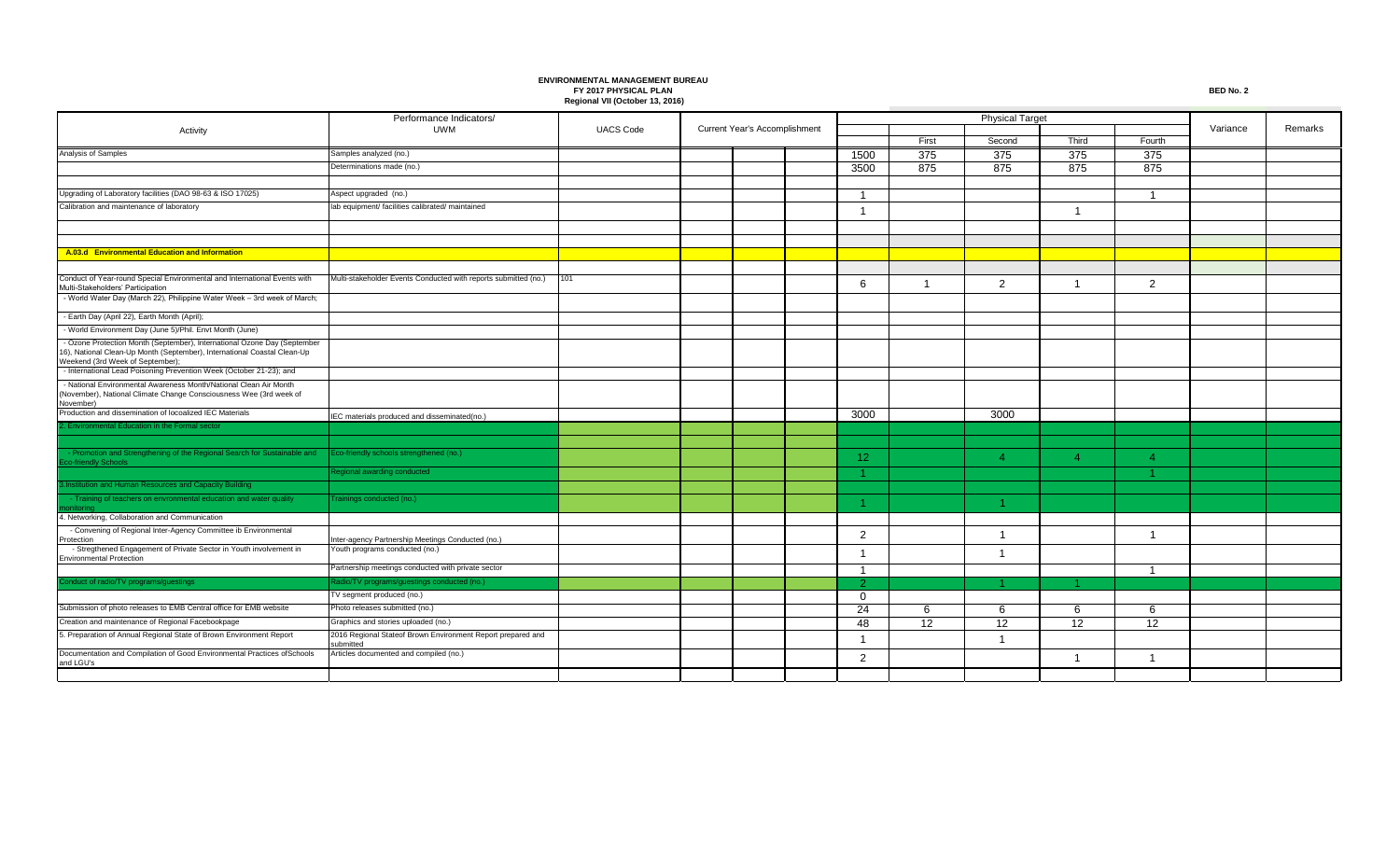|                                                                                                                                                                                          | Performance Indicators/                                                  |                  |  |                                      |  |                 |       |          |                |        |          |         |
|------------------------------------------------------------------------------------------------------------------------------------------------------------------------------------------|--------------------------------------------------------------------------|------------------|--|--------------------------------------|--|-----------------|-------|----------|----------------|--------|----------|---------|
| Activity                                                                                                                                                                                 | <b>UWM</b>                                                               | <b>UACS Code</b> |  | <b>Current Year's Accomplishment</b> |  |                 |       |          |                |        | Variance | Remarks |
|                                                                                                                                                                                          |                                                                          |                  |  |                                      |  |                 | First | Second   | Third          | Fourth |          |         |
| Analysis of Samples                                                                                                                                                                      | Samples analyzed (no.)                                                   |                  |  |                                      |  | 1500            | 375   | 375      | 375            | 375    |          |         |
|                                                                                                                                                                                          | Determinations made (no.)                                                |                  |  |                                      |  | 3500            | 875   | 875      | 875            | 875    |          |         |
|                                                                                                                                                                                          |                                                                          |                  |  |                                      |  |                 |       |          |                |        |          |         |
| Upgrading of Laboratory facilities (DAO 98-63 & ISO 17025)                                                                                                                               | Aspect upgraded (no.)                                                    |                  |  |                                      |  |                 |       |          |                |        |          |         |
| Calibration and maintenance of laboratory                                                                                                                                                | lab equipment/ facilities calibrated/ maintained                         |                  |  |                                      |  |                 |       |          | -1             |        |          |         |
|                                                                                                                                                                                          |                                                                          |                  |  |                                      |  |                 |       |          |                |        |          |         |
|                                                                                                                                                                                          |                                                                          |                  |  |                                      |  |                 |       |          |                |        |          |         |
| A.03.d Environmental Education and Information                                                                                                                                           |                                                                          |                  |  |                                      |  |                 |       |          |                |        |          |         |
|                                                                                                                                                                                          |                                                                          |                  |  |                                      |  |                 |       |          |                |        |          |         |
| Conduct of Year-round Special Environmental and International Events with<br>Multi-Stakeholders' Participation                                                                           | Multi-stakeholder Events Conducted with reports submitted (no.)          | 101              |  |                                      |  | 6               | -1    | 2        | -1             | 2      |          |         |
| - World Water Day (March 22), Philippine Water Week - 3rd week of March;                                                                                                                 |                                                                          |                  |  |                                      |  |                 |       |          |                |        |          |         |
| - Earth Day (April 22), Earth Month (April);                                                                                                                                             |                                                                          |                  |  |                                      |  |                 |       |          |                |        |          |         |
| - World Environment Day (June 5)/Phil. Envt Month (June)                                                                                                                                 |                                                                          |                  |  |                                      |  |                 |       |          |                |        |          |         |
| - Ozone Protection Month (September), International Ozone Day (September<br>16), National Clean-Up Month (September), International Coastal Clean-Up<br>Veekend (3rd Week of September): |                                                                          |                  |  |                                      |  |                 |       |          |                |        |          |         |
| - International Lead Poisoning Prevention Week (October 21-23); and                                                                                                                      |                                                                          |                  |  |                                      |  |                 |       |          |                |        |          |         |
| - National Environmental Awareness Month/National Clean Air Month<br>(November), National Climate Change Consciousness Wee (3rd week of<br>November)                                     |                                                                          |                  |  |                                      |  |                 |       |          |                |        |          |         |
| Production and dissemination of locoalized IEC Materials                                                                                                                                 | IEC materials produced and disseminated(no.)                             |                  |  |                                      |  | 3000            |       | 3000     |                |        |          |         |
| . Environmental Education in the Formal sector                                                                                                                                           |                                                                          |                  |  |                                      |  |                 |       |          |                |        |          |         |
|                                                                                                                                                                                          |                                                                          |                  |  |                                      |  |                 |       |          |                |        |          |         |
| - Promotion and Strengthening of the Regional Search for Sustainable and<br><b>Eco-friendly Schools</b>                                                                                  | Eco-friendly schools strengthened (no.)                                  |                  |  |                                      |  | 12 <sub>2</sub> |       | $\Delta$ | $\Delta$       |        |          |         |
|                                                                                                                                                                                          | Regional awarding conducted                                              |                  |  |                                      |  |                 |       |          |                |        |          |         |
| 3. Institution and Human Resources and Capacity Building                                                                                                                                 |                                                                          |                  |  |                                      |  |                 |       |          |                |        |          |         |
| - Training of teachers on envronmental education and water quality                                                                                                                       | Frainings conducted (no.)                                                |                  |  |                                      |  |                 |       |          |                |        |          |         |
| 4. Networking, Collaboration and Communication                                                                                                                                           |                                                                          |                  |  |                                      |  |                 |       |          |                |        |          |         |
| - Convening of Regional Inter-Agency Committee ib Environmental<br>rotection                                                                                                             | Inter-agency Partnership Meetings Conducted (no.)                        |                  |  |                                      |  | $\overline{2}$  |       | -1       |                |        |          |         |
| - Stregthened Engagement of Private Sector in Youth involvement in<br><b>Environmental Protection</b>                                                                                    | Youth programs conducted (no.)                                           |                  |  |                                      |  |                 |       |          |                |        |          |         |
|                                                                                                                                                                                          | Partnership meetings conducted with private sector                       |                  |  |                                      |  |                 |       |          |                | - 1    |          |         |
| Conduct of radio/TV programs/guestings                                                                                                                                                   | Radio/TV programs/guestings conducted (no.)                              |                  |  |                                      |  | $\mathcal{P}$   |       |          |                |        |          |         |
|                                                                                                                                                                                          | TV segment produced (no.)                                                |                  |  |                                      |  | $\Omega$        |       |          |                |        |          |         |
| Submission of photo releases to EMB Central office for EMB website                                                                                                                       | Photo releases submitted (no.)                                           |                  |  |                                      |  | 24              | 6     | 6        | 6              | 6      |          |         |
| Creation and maintenance of Regional Facebookpage                                                                                                                                        | Graphics and stories uploaded (no.)                                      |                  |  |                                      |  | 48              | 12    | 12       | 12             | 12     |          |         |
| 5. Preparation of Annual Regional State of Brown Environment Report                                                                                                                      | 2016 Regional Stateof Brown Environment Report prepared and<br>submitted |                  |  |                                      |  |                 |       |          |                |        |          |         |
| Documentation and Compilation of Good Environmental Practices ofSchools<br>and LGU's                                                                                                     | Articles documented and compiled (no.)                                   |                  |  |                                      |  | 2               |       |          | $\overline{1}$ | -1     |          |         |
|                                                                                                                                                                                          |                                                                          |                  |  |                                      |  |                 |       |          |                |        |          |         |

**College**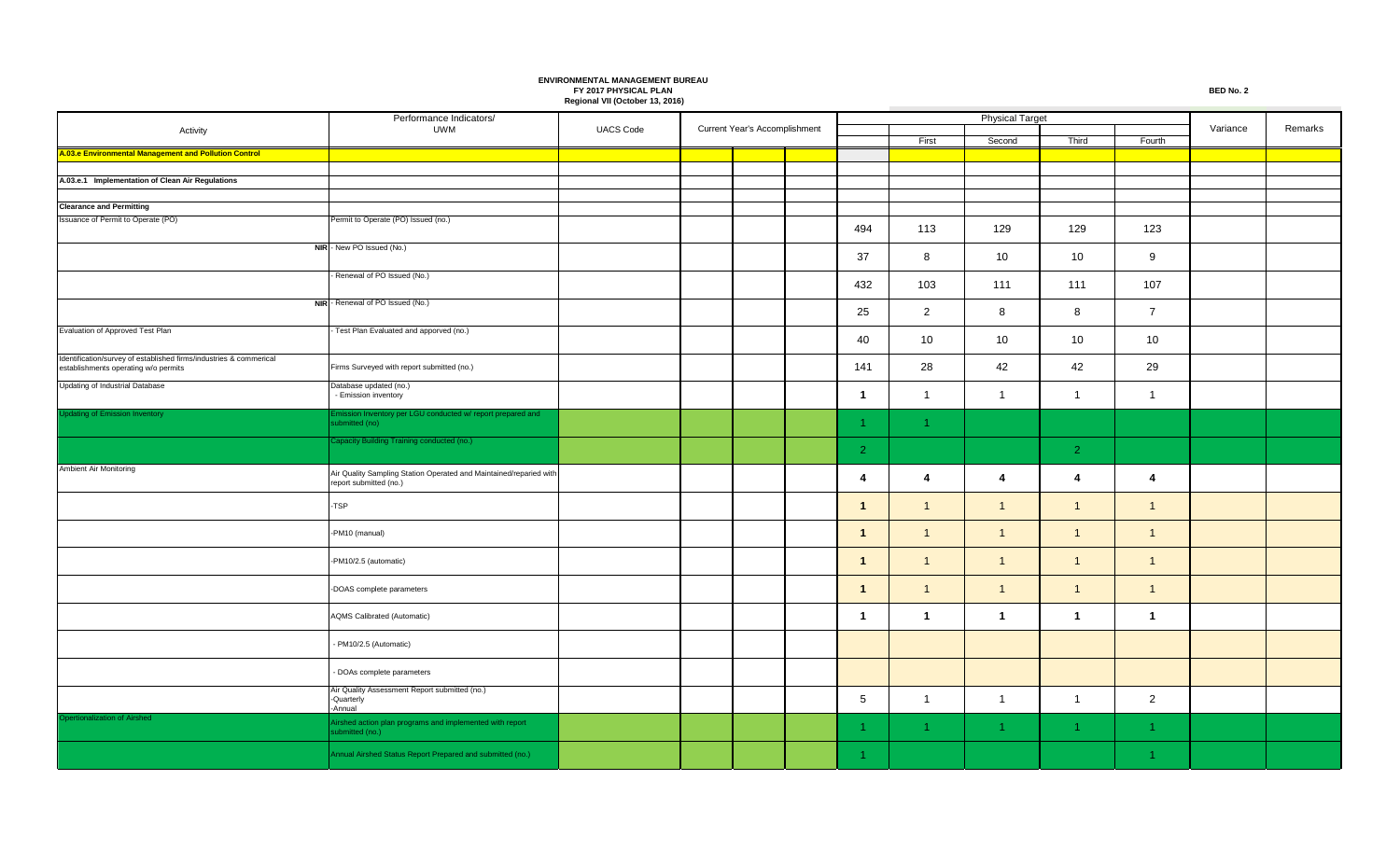|                                                                                                            | Performance Indicators/                                                                      |                  | Current Year's Accomplishment |  |  |                 |                | <b>Physical Target</b> |                      |                      |          |         |
|------------------------------------------------------------------------------------------------------------|----------------------------------------------------------------------------------------------|------------------|-------------------------------|--|--|-----------------|----------------|------------------------|----------------------|----------------------|----------|---------|
| Activity                                                                                                   | UWM                                                                                          | <b>UACS Code</b> |                               |  |  |                 | First          | Second                 | Third                | Fourth               | Variance | Remarks |
| A.03.e Environmental Management and Pollution Control                                                      |                                                                                              |                  |                               |  |  |                 |                |                        |                      |                      |          |         |
|                                                                                                            |                                                                                              |                  |                               |  |  |                 |                |                        |                      |                      |          |         |
| A.03.e.1 Implementation of Clean Air Regulations                                                           |                                                                                              |                  |                               |  |  |                 |                |                        |                      |                      |          |         |
|                                                                                                            |                                                                                              |                  |                               |  |  |                 |                |                        |                      |                      |          |         |
| <b>Clearance and Permitting</b>                                                                            |                                                                                              |                  |                               |  |  |                 |                |                        |                      |                      |          |         |
| Issuance of Permit to Operate (PO)                                                                         | Permit to Operate (PO) Issued (no.)                                                          |                  |                               |  |  | 494             | 113            | 129                    | 129                  | 123                  |          |         |
|                                                                                                            | NIR - New PO Issued (No.)                                                                    |                  |                               |  |  | 37              | 8              | 10                     | 10                   | 9                    |          |         |
|                                                                                                            | - Renewal of PO Issued (No.)                                                                 |                  |                               |  |  | 432             | 103            | 111                    | 111                  | 107                  |          |         |
|                                                                                                            | NIR - Renewal of PO Issued (No.)                                                             |                  |                               |  |  | 25              | $\overline{2}$ | 8                      | 8                    | $\overline{7}$       |          |         |
| Evaluation of Approved Test Plan                                                                           | Test Plan Evaluated and apporved (no.)                                                       |                  |                               |  |  | 40              | 10             | 10                     | 10                   | 10                   |          |         |
| Identification/survey of established firms/industries & commerical<br>establishments operating w/o permits | Firms Surveyed with report submitted (no.)                                                   |                  |                               |  |  | 141             | 28             | 42                     | 42                   | 29                   |          |         |
| Updating of Industrial Database                                                                            | Database updated (no.)<br>- Emission inventory                                               |                  |                               |  |  | $\mathbf{1}$    | $\mathbf{1}$   | $\overline{1}$         | $\overline{1}$       | $\mathbf{1}$         |          |         |
| <b>Updating of Emission Inventory</b>                                                                      | Emission Inventory per LGU conducted w/ report prepared and<br>submitted (no)                |                  |                               |  |  |                 | -1             |                        |                      |                      |          |         |
|                                                                                                            | Capacity Building Training conducted (no.)                                                   |                  |                               |  |  | $\overline{2}$  |                |                        | $\overline{2}$       |                      |          |         |
| Ambient Air Monitoring                                                                                     | Air Quality Sampling Station Operated and Maintained/reparied with<br>report submitted (no.) |                  |                               |  |  | $\overline{4}$  | 4              | $\overline{4}$         | $\overline{4}$       | 4                    |          |         |
|                                                                                                            | -TSP                                                                                         |                  |                               |  |  | $\mathbf{1}$    | $\mathbf{1}$   | $\overline{1}$         | $\overline{1}$       | $\mathbf{1}$         |          |         |
|                                                                                                            | -PM10 (manual)                                                                               |                  |                               |  |  | $\mathbf{1}$    | $\mathbf{1}$   | $\overline{1}$         | $\overline{1}$       | $\mathbf{1}$         |          |         |
|                                                                                                            | -PM10/2.5 (automatic)                                                                        |                  |                               |  |  | $\mathbf{1}$    | $\mathbf{1}$   | $\overline{1}$         | $\overline{1}$       | $\mathbf{1}$         |          |         |
|                                                                                                            | -DOAS complete parameters                                                                    |                  |                               |  |  | $\mathbf{1}$    | $\mathbf{1}$   | $\overline{1}$         | $\overline{1}$       | $\mathbf{1}$         |          |         |
|                                                                                                            | <b>AQMS Calibrated (Automatic)</b>                                                           |                  |                               |  |  | $\mathbf{1}$    | $\mathbf{1}$   | $\overline{1}$         | $\overline{1}$       | $\mathbf{1}$         |          |         |
|                                                                                                            | - PM10/2.5 (Automatic)                                                                       |                  |                               |  |  |                 |                |                        |                      |                      |          |         |
|                                                                                                            | - DOAs complete parameters                                                                   |                  |                               |  |  |                 |                |                        |                      |                      |          |         |
|                                                                                                            | Air Quality Assessment Report submitted (no.)<br>-Quarterly<br>-Annual                       |                  |                               |  |  | $5\overline{)}$ | $\mathbf{1}$   | $\overline{1}$         | $\overline{1}$       | $\overline{2}$       |          |         |
| Opertionalization of Airshed                                                                               | Airshed action plan programs and implemented with report<br>submitted (no.)                  |                  |                               |  |  |                 | -1             | $\blacktriangleleft$   | $\blacktriangleleft$ | $\blacktriangleleft$ |          |         |
|                                                                                                            | Annual Airshed Status Report Prepared and submitted (no.)                                    |                  |                               |  |  |                 |                |                        |                      | -1.                  |          |         |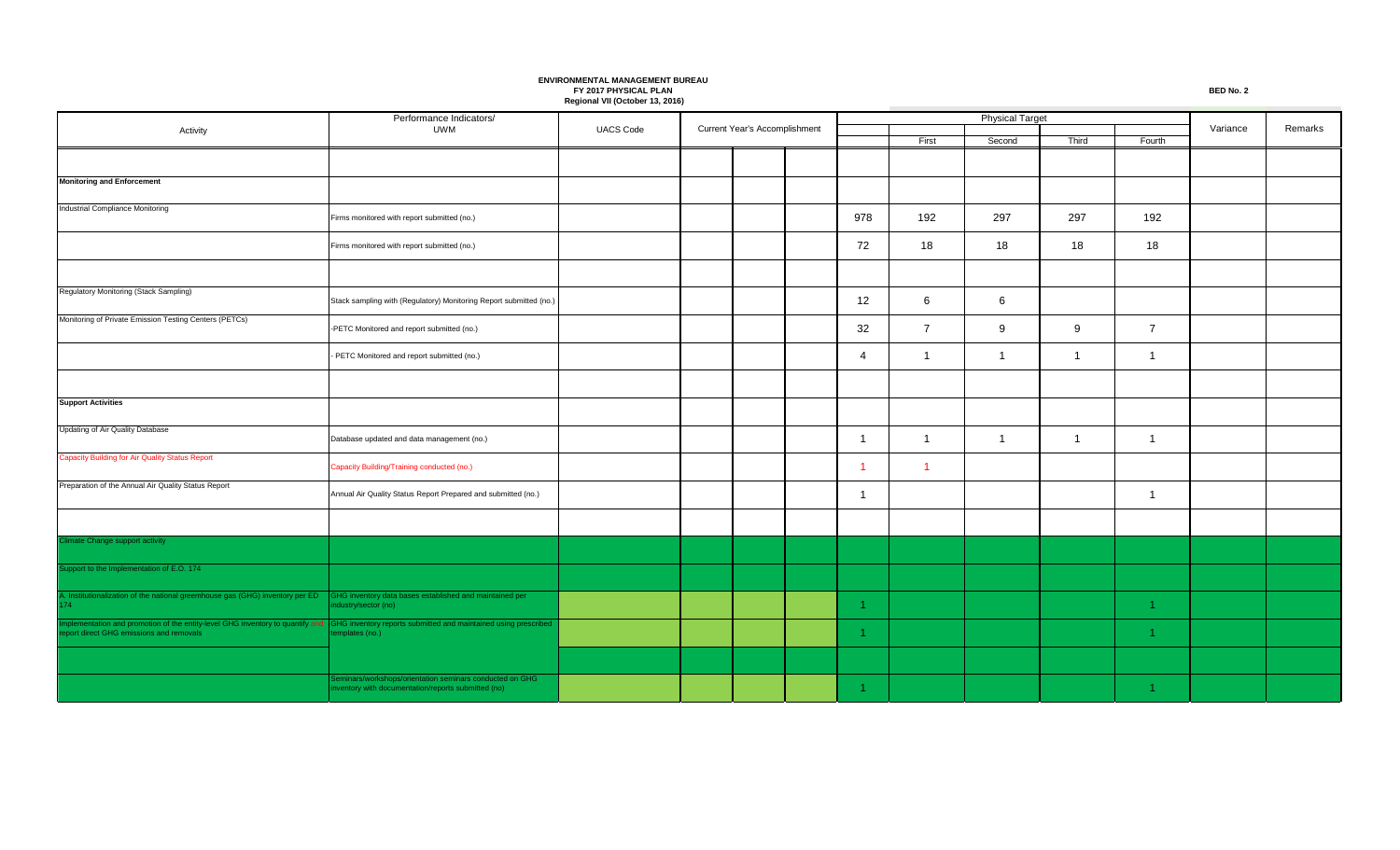Performance Indicators/ Activity **CONSIDERENT CONSIDERED ACTIVITY** UWM UACS Code First **Second** Third Fourth Current Year's Accomplishment **Current Year's Accomplishment Variance** Remarks Physical Target **Monitoring and Enforcement** Industrial Compliance Monitoring Firms monitored with report submitted (no.) 978 192 297 297 192 Firms monitored with report submitted (no.) 72 18 18 18 18 Regulatory Monitoring (Stack Sampling) Stack sampling with (Regulatory) Monitoring Report submitted (no.) 12 6 6 Monitoring of Private Emission Testing Centers (PETCs) -PETC Monitored and report submitted (no.) 32 7 9 9 7 - PETC Monitored and report submitted (no.) 4 1 1 1 1 **Support Activities** Updating of Air Quality Database Database updated and data management (no.) 1 1 1 1 1 Capacity Building for Air Quality Status Report  $\blacksquare$  Capacity Building/Training conducted (no.)  $\blacksquare$   $\blacksquare$   $\blacksquare$   $\blacksquare$   $\blacksquare$   $\blacksquare$   $\blacksquare$   $\blacksquare$   $\blacksquare$   $\blacksquare$   $\blacksquare$   $\blacksquare$   $\blacksquare$   $\blacksquare$   $\blacksquare$   $\blacksquare$   $\blacksquare$   $\blacksquare$   $\blacksquare$   $\blacksquare$   $\blacksquare$   $\blacksquare$   $\blacksquare$   $\blacksquare$   $\bl$ Preparation of the Annual Air Quality Status Report Annual Air Quality Status Report Prepared and submitted (no.) 1 1 imate Change support activity upport to the Implementation of E.O. 174 A. Institutionalization of the national greemhouse gas (GHG) inventory per ED GHG inventory data bases established and maintained per 74 industry/sector (no) 1 1 Implementation and promotion of the entity-level GHG inventory to quantify and GHG inventory reports submitted and maintained using prescribed and the control of the control of the control of the control of the control of Seminars/workshops/orientation seminars conducted on GHG inventory with documentation/reports submitted (no) and the control of the control of the control of the control of the control of the control of the control of the control of the control of the control of the control of t GHG inventory reports submitted and maintained using prescribed templates (no.)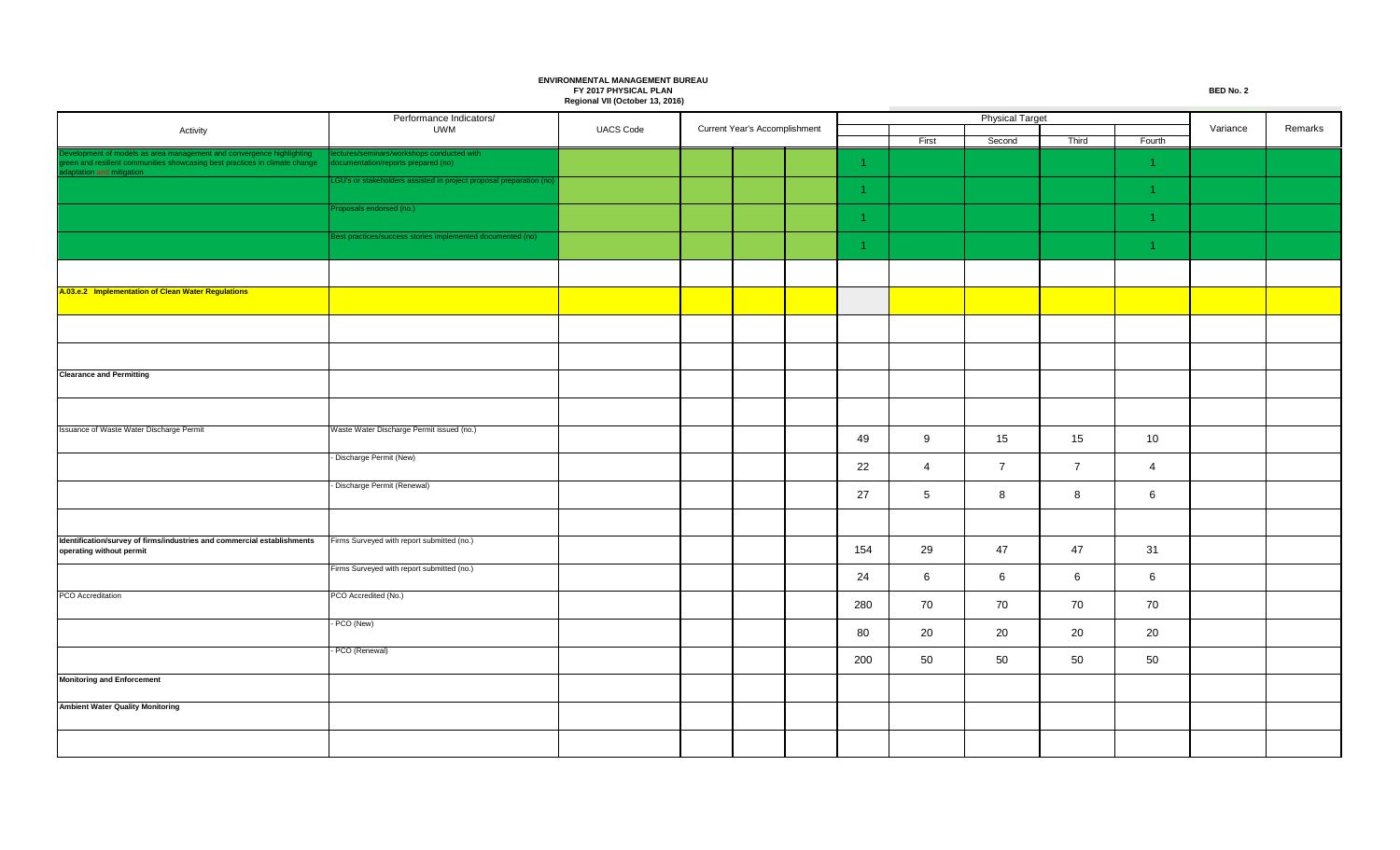Performance Indicators/ Activity **CONSISTENT CONSISTENT CONSISTENT CONSISTENT** UWM UACS Code First Second Third Fourth Current Year's Accomplishment **Current Year's Accomplishment Variance** Remarks Physical Target Development of models as area management and convergence highlighting green and resilient communities showcasing best practices in climate change aptation and mitigation ted with cumentation/reports prepared (no) and the controller controller controller controller controller controller controller controller controller controller controller controller controller controller controller controller cont GU's or stakeholders assisted in project proposal preparation (no 1 1 roposals endorsed (no.) 1 1 est practices/success stories implemented documented (no) 1 1 **A.03.e.2 Implementation of Clean Water Regulations Clearance and Permitting** Issuance of Waste Water Discharge Permit Waste Water Discharge Permit issued (no.) 49 | 9 | 15 | 15 | 10 - Discharge Permit (New) 22 4 7 7 4 - Discharge Permit (Renewal) 27 5 8 8 8 6 **Identification/survey of firms/industries and commercial establishments operating without permit** Firms Surveyed with report submitted (no.) 154 29 47 47 31 Firms Surveyed with report submitted (no.) 24 6 6 6 6 PCO Accreditation **PCO** Accreditation 280 70 70 70 70 - PCO (New) 80 20 20 20 20 - PCO (Renewal) 200 50 50 50 50 **Monitoring and Enforcement Ambient Water Quality Monitoring**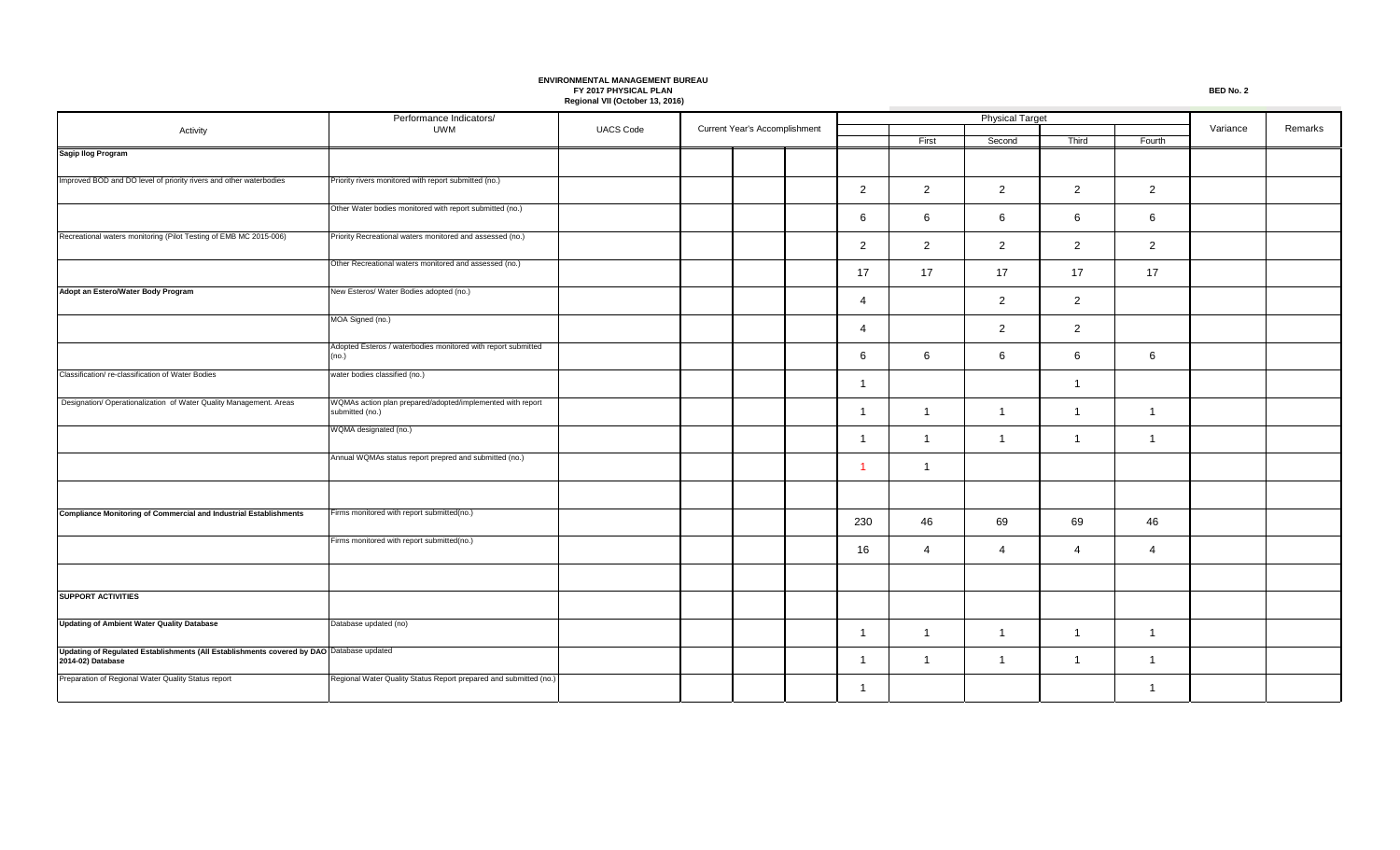|                                                                                                               | Performance Indicators/                                                       |                  |  |                               |  |                |                |                |                |                |          |         |
|---------------------------------------------------------------------------------------------------------------|-------------------------------------------------------------------------------|------------------|--|-------------------------------|--|----------------|----------------|----------------|----------------|----------------|----------|---------|
| Activity                                                                                                      | UWM                                                                           | <b>UACS Code</b> |  | Current Year's Accomplishment |  |                | First          | Second         | Third          | Fourth         | Variance | Remarks |
| Sagip Ilog Program                                                                                            |                                                                               |                  |  |                               |  |                |                |                |                |                |          |         |
| Improved BOD and DO level of priority rivers and other waterbodies                                            | Priority rivers monitored with report submitted (no.)                         |                  |  |                               |  | $\overline{2}$ | $\overline{2}$ | 2              | $\overline{2}$ | $\overline{2}$ |          |         |
|                                                                                                               | Other Water bodies monitored with report submitted (no.)                      |                  |  |                               |  | 6              | 6              | 6              | 6              | 6              |          |         |
| Recreational waters monitoring (Pilot Testing of EMB MC 2015-006)                                             | Priority Recreational waters monitored and assessed (no.)                     |                  |  |                               |  | $\overline{2}$ | $\overline{2}$ | $\overline{2}$ | $\overline{2}$ | $\overline{2}$ |          |         |
|                                                                                                               | Other Recreational waters monitored and assessed (no.)                        |                  |  |                               |  | 17             | 17             | 17             | 17             | 17             |          |         |
| Adopt an Estero/Water Body Program                                                                            | New Esteros/ Water Bodies adopted (no.)                                       |                  |  |                               |  | 4              |                | 2              | $\overline{2}$ |                |          |         |
|                                                                                                               | MOA Signed (no.)                                                              |                  |  |                               |  | 4              |                | $\overline{2}$ | $\overline{2}$ |                |          |         |
|                                                                                                               | Adopted Esteros / waterbodies monitored with report submitted<br>(no.)        |                  |  |                               |  | 6              | 6              | 6              | 6              | 6              |          |         |
| Classification/ re-classification of Water Bodies                                                             | water bodies classified (no.)                                                 |                  |  |                               |  | -1             |                |                | $\mathbf{1}$   |                |          |         |
| Designation/ Operationalization of Water Quality Management. Areas                                            | WQMAs action plan prepared/adopted/implemented with report<br>submitted (no.) |                  |  |                               |  | -1             | -1             | $\overline{1}$ | $\mathbf{1}$   | $\overline{1}$ |          |         |
|                                                                                                               | WQMA designated (no.)                                                         |                  |  |                               |  | -1             | -1             | $\overline{1}$ | $\mathbf{1}$   | $\overline{1}$ |          |         |
|                                                                                                               | Annual WQMAs status report prepred and submitted (no.)                        |                  |  |                               |  | -1             | -1             |                |                |                |          |         |
|                                                                                                               |                                                                               |                  |  |                               |  |                |                |                |                |                |          |         |
| <b>Compliance Monitoring of Commercial and Industrial Establishments</b>                                      | Firms monitored with report submitted(no.)                                    |                  |  |                               |  | 230            | 46             | 69             | 69             | 46             |          |         |
|                                                                                                               | Firms monitored with report submitted(no.)                                    |                  |  |                               |  | 16             | 4              | 4              | 4              | 4              |          |         |
|                                                                                                               |                                                                               |                  |  |                               |  |                |                |                |                |                |          |         |
| <b>SUPPORT ACTIVITIES</b>                                                                                     |                                                                               |                  |  |                               |  |                |                |                |                |                |          |         |
| <b>Updating of Ambient Water Quality Database</b>                                                             | Database updated (no)                                                         |                  |  |                               |  | $\overline{1}$ | -1             | $\overline{1}$ | $\mathbf{1}$   | $\overline{1}$ |          |         |
| Updating of Regulated Establishments (All Establishments covered by DAO Database updated<br>2014-02) Database |                                                                               |                  |  |                               |  | -1             | $\overline{1}$ | $\overline{1}$ | $\mathbf{1}$   | $\mathbf 1$    |          |         |
| Preparation of Regional Water Quality Status report                                                           | Regional Water Quality Status Report prepared and submitted (no.)             |                  |  |                               |  | -1             |                |                |                | 1              |          |         |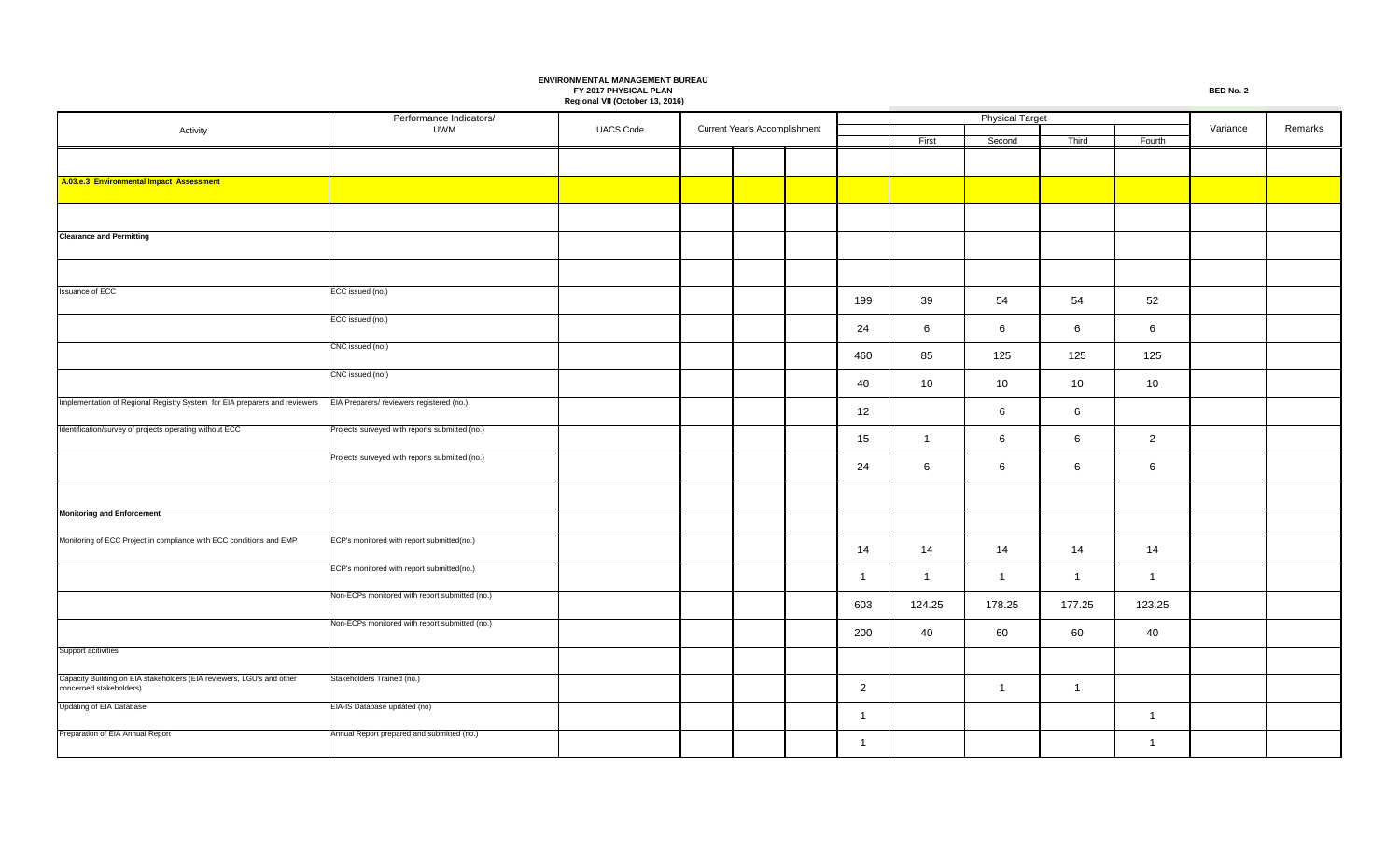|                                                                                                  | Performance Indicators/                        |                  | Current Year's Accomplishment |  |  |                |                | <b>Physical Target</b> |                |                 |          |         |
|--------------------------------------------------------------------------------------------------|------------------------------------------------|------------------|-------------------------------|--|--|----------------|----------------|------------------------|----------------|-----------------|----------|---------|
| Activity                                                                                         | <b>UWM</b>                                     | <b>UACS Code</b> |                               |  |  |                | First          | Second                 | Third          | Fourth          | Variance | Remarks |
|                                                                                                  |                                                |                  |                               |  |  |                |                |                        |                |                 |          |         |
| A.03.e.3 Environmental Impact Assessment                                                         |                                                |                  |                               |  |  |                |                |                        |                |                 |          |         |
|                                                                                                  |                                                |                  |                               |  |  |                |                |                        |                |                 |          |         |
|                                                                                                  |                                                |                  |                               |  |  |                |                |                        |                |                 |          |         |
| <b>Clearance and Permitting</b>                                                                  |                                                |                  |                               |  |  |                |                |                        |                |                 |          |         |
|                                                                                                  |                                                |                  |                               |  |  |                |                |                        |                |                 |          |         |
| Issuance of ECC                                                                                  | ECC issued (no.)                               |                  |                               |  |  | 199            | 39             | 54                     | 54             | 52              |          |         |
|                                                                                                  | ECC issued (no.)                               |                  |                               |  |  | 24             | 6              | 6                      | 6              | 6               |          |         |
|                                                                                                  | CNC issued (no.)                               |                  |                               |  |  | 460            | 85             | 125                    | 125            | 125             |          |         |
|                                                                                                  | CNC issued (no.)                               |                  |                               |  |  | 40             | 10             | 10                     | 10             | 10 <sup>°</sup> |          |         |
| Implementation of Regional Registry System for EIA preparers and reviewers                       | EIA Preparers/ reviewers registered (no.)      |                  |                               |  |  | 12             |                | 6                      | 6              |                 |          |         |
| Identification/survey of projects operating without ECC                                          | Projects surveyed with reports submitted (no.) |                  |                               |  |  |                |                |                        |                |                 |          |         |
|                                                                                                  |                                                |                  |                               |  |  | 15             | $\overline{1}$ | 6                      | 6              | $\overline{2}$  |          |         |
|                                                                                                  | Projects surveyed with reports submitted (no.) |                  |                               |  |  | 24             | 6              | 6                      | 6              | 6               |          |         |
|                                                                                                  |                                                |                  |                               |  |  |                |                |                        |                |                 |          |         |
| <b>Monitoring and Enforcement</b>                                                                |                                                |                  |                               |  |  |                |                |                        |                |                 |          |         |
| Monitoring of ECC Project in compliance with ECC conditions and EMP                              | ECP's monitored with report submitted(no.)     |                  |                               |  |  | 14             | 14             | 14                     | 14             | 14              |          |         |
|                                                                                                  | ECP's monitored with report submitted(no.)     |                  |                               |  |  | $\mathbf{1}$   | $\overline{1}$ | $\overline{1}$         | $\overline{1}$ | $\overline{1}$  |          |         |
|                                                                                                  | Non-ECPs monitored with report submitted (no.) |                  |                               |  |  | 603            | 124.25         | 178.25                 | 177.25         | 123.25          |          |         |
|                                                                                                  | Non-ECPs monitored with report submitted (no.) |                  |                               |  |  | 200            | 40             | 60                     | 60             | 40              |          |         |
| Support acitivities                                                                              |                                                |                  |                               |  |  |                |                |                        |                |                 |          |         |
| Capacity Building on EIA stakeholders (EIA reviewers, LGU's and other<br>concerned stakeholders) | Stakeholders Trained (no.)                     |                  |                               |  |  | $\overline{2}$ |                | $\overline{1}$         | $\overline{1}$ |                 |          |         |
| Updating of EIA Database                                                                         | EIA-IS Database updated (no)                   |                  |                               |  |  | $\mathbf{1}$   |                |                        |                | $\overline{1}$  |          |         |
| Preparation of EIA Annual Report                                                                 | Annual Report prepared and submitted (no.)     |                  |                               |  |  | $\mathbf{1}$   |                |                        |                | $\overline{1}$  |          |         |
|                                                                                                  |                                                |                  |                               |  |  |                |                |                        |                |                 |          |         |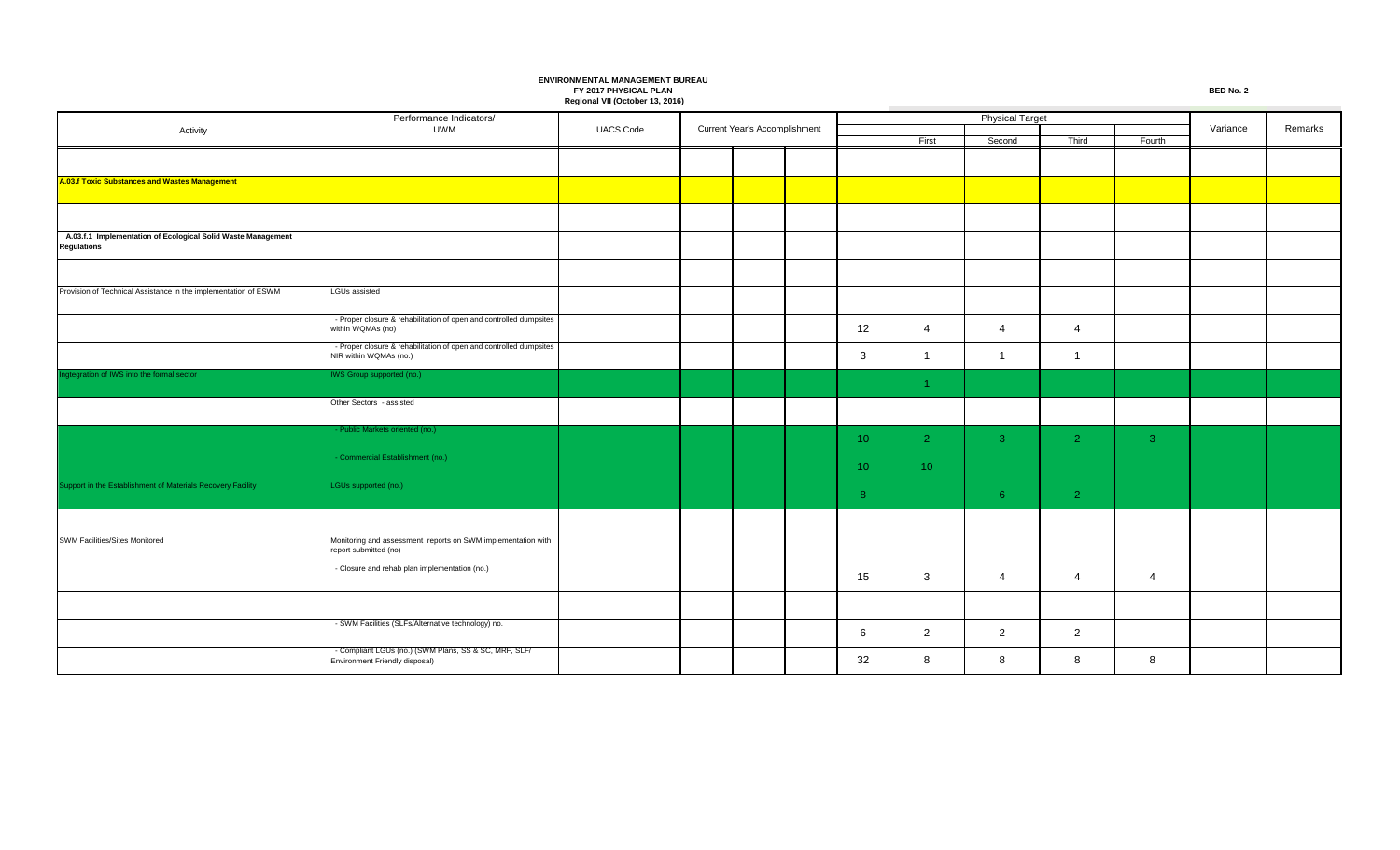Performance Indicators/ Activity **CONSISTENT CONSISTENT CONSISTENT CONSISTENT** UWM UACS Code First **Second** Third Fourth Current Year's Accomplishment **Current Year's Accomplishment Variance** Remarks Physical Target **A.03.f Toxic Substances and Wastes Management A.03.f.1 Implementation of Ecological Solid Waste Management Regulations** Provision of Technical Assistance in the implementation of ESWM LGUs assisted - Proper closure & rehabilitation of open and controlled dumpsites within WQMAs (no) within WQMAs (no) 12 4 4 4 - Proper closure & rehabilitation of open and controlled dumpsites NIR within WQMAs (no.) NIR within WQMAs (no.) 3 1 1 1 Integration of IWS into the formal sector INS Group supported (no.) 1 Other Sectors - assisted Public Markets oriented (no.) 10 | 2 | 3 | 2 | 3 - Commercial Establishment (no.)  $10 \quad | \quad 10$ upport in the Establishment of Materials Recovery Facility **LGUs** supported (no.) 8 | 6 | 2 SWM Facilities/Sites Monitored Monitored Monitoring and assessment reports on SWM implementation with report submitted (no) - Closure and rehab plan implementation (no.) 15 3 4 4 4 4 - SWM Facilities (SLFs/Alternative technology) no. 6 2 2 2 - Compliant LGUs (no.) (SWM Plans, SS & SC, MRF, SLF/ Environment Friendly disposal) 32 8 8 8 8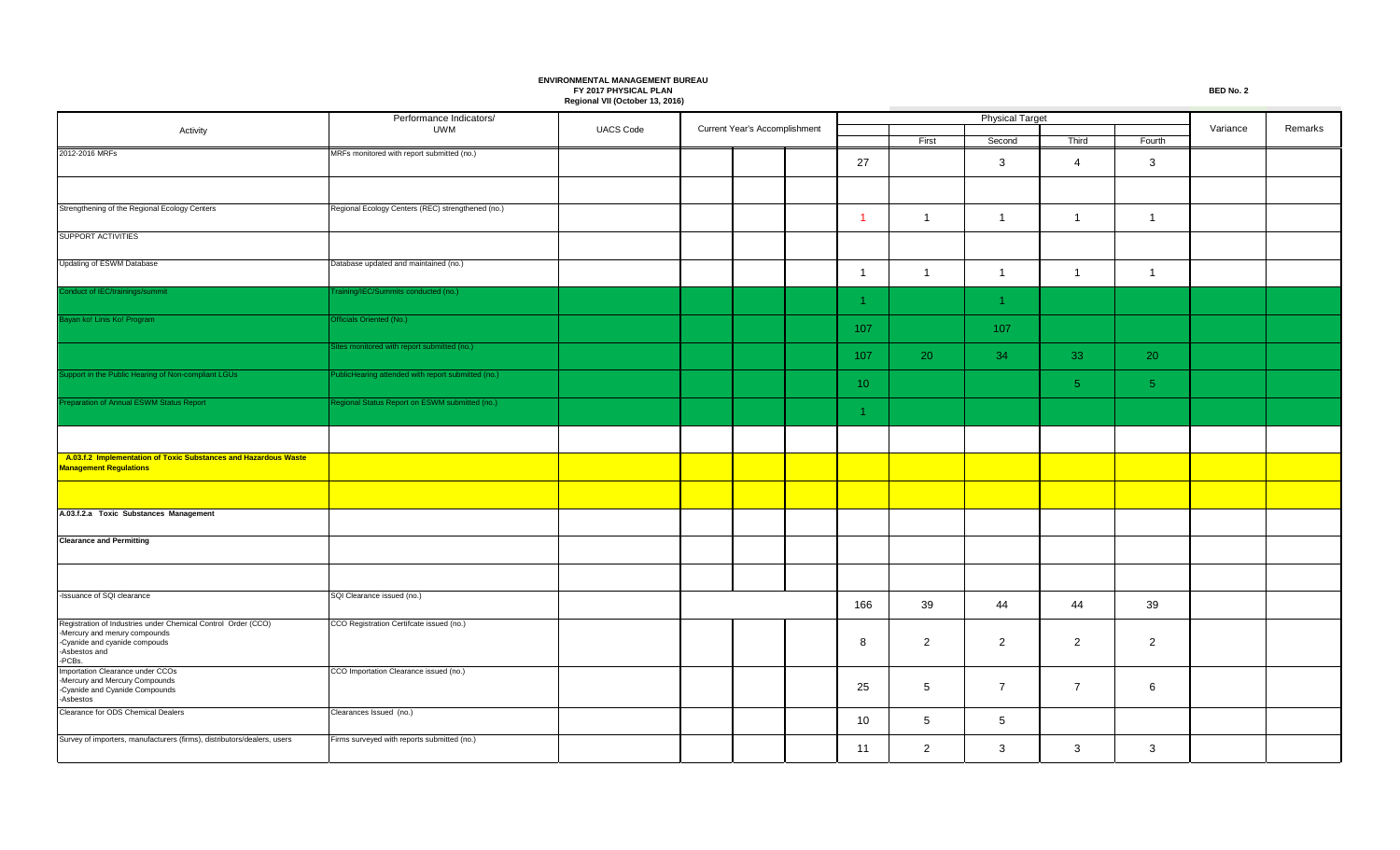|                                                                                                  | Performance Indicators/                            |                  |  |                               |  |                      |                | <b>Physical Target</b> |                 |                |          |         |
|--------------------------------------------------------------------------------------------------|----------------------------------------------------|------------------|--|-------------------------------|--|----------------------|----------------|------------------------|-----------------|----------------|----------|---------|
| Activity                                                                                         | <b>UWM</b>                                         | <b>UACS Code</b> |  | Current Year's Accomplishment |  |                      | First          | Second                 | Third           | Fourth         | Variance | Remarks |
| 2012-2016 MRFs                                                                                   | MRFs monitored with report submitted (no.)         |                  |  |                               |  |                      |                |                        |                 |                |          |         |
|                                                                                                  |                                                    |                  |  |                               |  | 27                   |                | $\mathbf{3}$           | $\overline{4}$  | 3              |          |         |
|                                                                                                  |                                                    |                  |  |                               |  |                      |                |                        |                 |                |          |         |
| Strengthening of the Regional Ecology Centers                                                    | Regional Ecology Centers (REC) strengthened (no.)  |                  |  |                               |  |                      |                |                        |                 |                |          |         |
|                                                                                                  |                                                    |                  |  |                               |  | -1                   | $\overline{1}$ | $\overline{1}$         | $\overline{1}$  | $\overline{1}$ |          |         |
| SUPPORT ACTIVITIES                                                                               |                                                    |                  |  |                               |  |                      |                |                        |                 |                |          |         |
| Updating of ESWM Database                                                                        | Database updated and maintained (no.)              |                  |  |                               |  |                      |                |                        |                 |                |          |         |
|                                                                                                  |                                                    |                  |  |                               |  | -1                   | $\overline{1}$ | $\overline{1}$         | $\mathbf{1}$    | $\overline{1}$ |          |         |
| Conduct of IEC/trainings/summit                                                                  | Training/IEC/Summits conducted (no.)               |                  |  |                               |  |                      |                |                        |                 |                |          |         |
|                                                                                                  |                                                    |                  |  |                               |  | $\blacktriangleleft$ |                | $\blacktriangleleft$   |                 |                |          |         |
| Bayan ko! Linis Ko! Program                                                                      | Officials Oriented (No.)                           |                  |  |                               |  | 107                  |                | 107                    |                 |                |          |         |
|                                                                                                  | Sites monitored with report submitted (no.)        |                  |  |                               |  |                      |                |                        |                 |                |          |         |
|                                                                                                  |                                                    |                  |  |                               |  | 107                  | 20             | 34                     | 33 <sub>1</sub> | 20             |          |         |
| Support in the Public Hearing of Non-compliant LGUs                                              | PublicHearing attended with report submitted (no.) |                  |  |                               |  | 10 <sup>°</sup>      |                |                        | 5 <sup>1</sup>  | 5 <sup>1</sup> |          |         |
| Preparation of Annual ESWM Status Report                                                         | Regional Status Report on ESWM submitted (no.)     |                  |  |                               |  |                      |                |                        |                 |                |          |         |
|                                                                                                  |                                                    |                  |  |                               |  | $\mathbf{1}$         |                |                        |                 |                |          |         |
|                                                                                                  |                                                    |                  |  |                               |  |                      |                |                        |                 |                |          |         |
|                                                                                                  |                                                    |                  |  |                               |  |                      |                |                        |                 |                |          |         |
| A.03.f.2 Implementation of Toxic Substances and Hazardous Waste<br><b>Management Regulations</b> |                                                    |                  |  |                               |  |                      |                |                        |                 |                |          |         |
|                                                                                                  |                                                    |                  |  |                               |  |                      |                |                        |                 |                |          |         |
|                                                                                                  |                                                    |                  |  |                               |  |                      |                |                        |                 |                |          |         |
| A.03.f.2.a Toxic Substances Management                                                           |                                                    |                  |  |                               |  |                      |                |                        |                 |                |          |         |
|                                                                                                  |                                                    |                  |  |                               |  |                      |                |                        |                 |                |          |         |
| <b>Clearance and Permitting</b>                                                                  |                                                    |                  |  |                               |  |                      |                |                        |                 |                |          |         |
|                                                                                                  |                                                    |                  |  |                               |  |                      |                |                        |                 |                |          |         |
|                                                                                                  |                                                    |                  |  |                               |  |                      |                |                        |                 |                |          |         |
|                                                                                                  |                                                    |                  |  |                               |  |                      |                |                        |                 |                |          |         |
| -Issuance of SQI clearance                                                                       | SQI Clearance issued (no.)                         |                  |  |                               |  | 166                  | 39             | 44                     | 44              | 39             |          |         |
| Registration of Industries under Chemical Control Order (CCO)                                    | CCO Registration Certifcate issued (no.)           |                  |  |                               |  |                      |                |                        |                 |                |          |         |
| -Mercury and merury compounds<br>-Cyanide and cyanide compouds                                   |                                                    |                  |  |                               |  | 8                    | $\overline{c}$ | $\overline{2}$         | $\overline{2}$  | $\overline{2}$ |          |         |
| -Asbestos and                                                                                    |                                                    |                  |  |                               |  |                      |                |                        |                 |                |          |         |
| PCBs.<br>Importation Clearance under CCOs                                                        | CCO Importation Clearance issued (no.)             |                  |  |                               |  |                      |                |                        |                 |                |          |         |
| Mercury and Mercury Compounds                                                                    |                                                    |                  |  |                               |  | 25                   | 5              | $\overline{7}$         | $\overline{7}$  | 6              |          |         |
| -Cyanide and Cyanide Compounds<br><b>Asbestos</b>                                                |                                                    |                  |  |                               |  |                      |                |                        |                 |                |          |         |
| Clearance for ODS Chemical Dealers                                                               | Clearances Issued (no.)                            |                  |  |                               |  |                      |                |                        |                 |                |          |         |
|                                                                                                  |                                                    |                  |  |                               |  | 10                   | $5^{\circ}$    | $5\overline{5}$        |                 |                |          |         |
| Survey of importers, manufacturers (firms), distributors/dealers, users                          | Firms surveyed with reports submitted (no.)        |                  |  |                               |  | 11                   | $\mathbf{2}$   | $\mathbf{3}$           | 3               | 3              |          |         |
|                                                                                                  |                                                    |                  |  |                               |  |                      |                |                        |                 |                |          |         |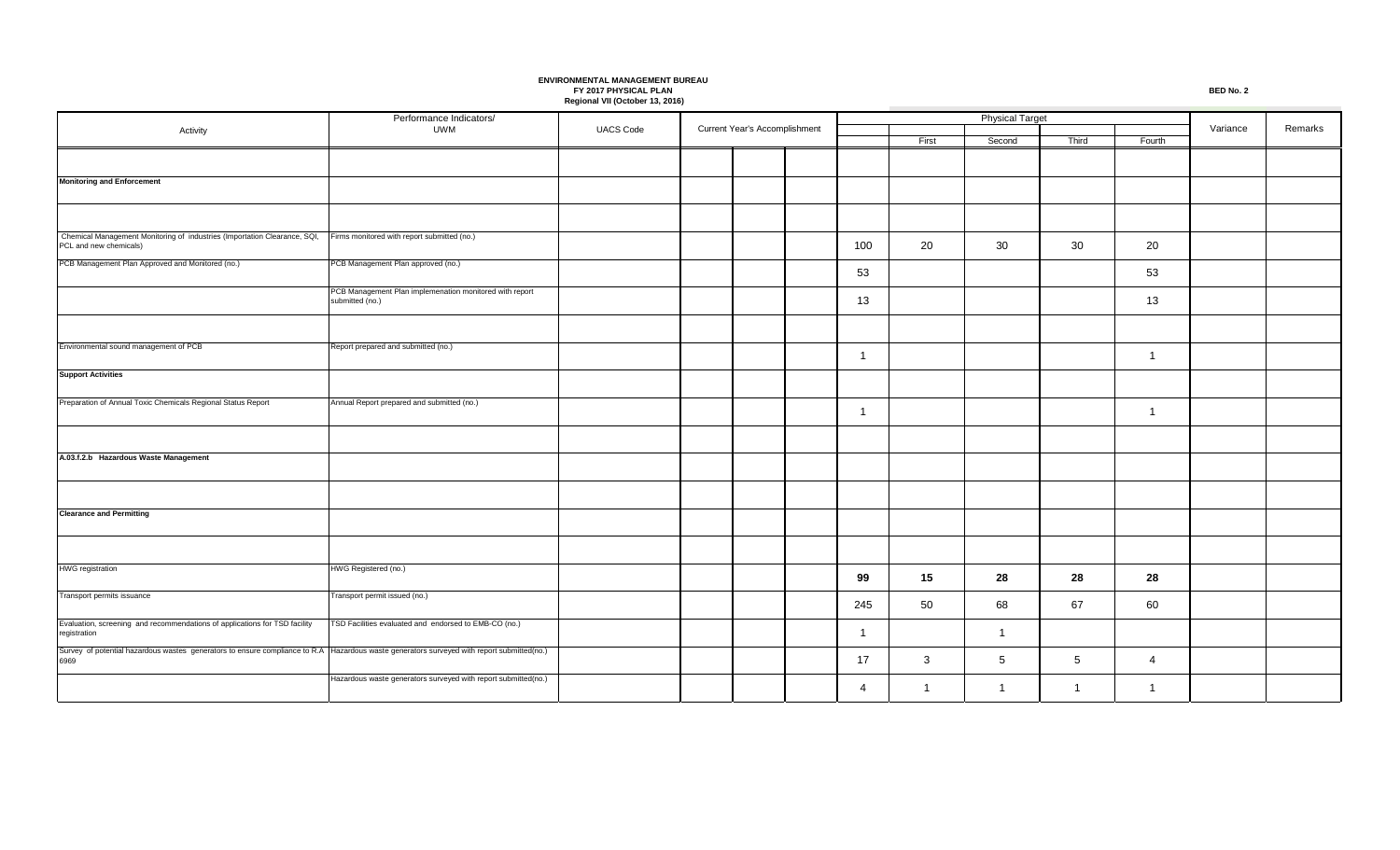Performance Indicators/ Activity **UACS Code UNIVERSITY** UWM UACS Code First **Second** Third Fourth Current Year's Accomplishment **Variance** Remarks Physical Target **Monitoring and Enforcement** Chemical Management Monitoring of industries (Importation Clearance, SQI, PCL and new chemicals) Firms monitored with report submitted (no.) 100 20 30 30 20 PCB Management Plan Approved and Monitored (no.) PCB Management Plan approved (no.) 53 53 PCB Management Plan implemenation monitored with report submitted (no.) 13 13 Environmental sound management of PCB Report prepared and submitted (no.) 1 | | | | | | | | | | **Support Activities** Preparation of Annual Toxic Chemicals Regional Status Report Annual Report prepared and submitted (no.) 1 1 **A.03.f.2.b Hazardous Waste Management Clearance and Permitting** HWG registration **HWG Registered** (no.) **99 15 28 28 28** Transport permits issuance Transport permit issued (no.) 245 50 68 67 60 Evaluation, screening and recommendations of applications for TSD facility registration TSD Facilities evaluated and endorsed to EMB-CO (no.) 1 1 Survey of potential hazardous wastes generators to ensure compliance to R.A Hazardous waste generators surveyed with report submitted(no.) 6969 17 3 5 5 5 4 Hazardous waste generators surveyed with report submitted(no.) 4 | 1 | 1 | 1 | 1